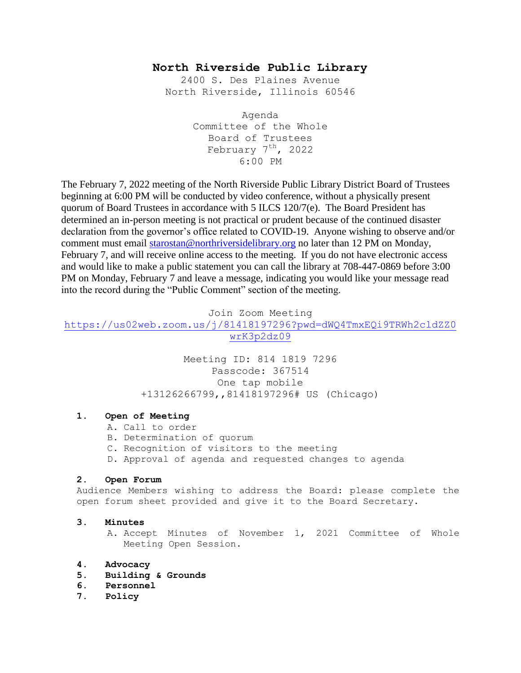# **North Riverside Public Library**

2400 S. Des Plaines Avenue North Riverside, Illinois 60546

> Agenda Committee of the Whole Board of Trustees February  $7<sup>th</sup>$ , 2022 6:00 PM

The February 7, 2022 meeting of the North Riverside Public Library District Board of Trustees beginning at 6:00 PM will be conducted by video conference, without a physically present quorum of Board Trustees in accordance with 5 ILCS 120/7(e). The Board President has determined an in-person meeting is not practical or prudent because of the continued disaster declaration from the governor's office related to COVID-19. Anyone wishing to observe and/or comment must email [starostan@northriversidelibrary.org](mailto:starostan@northriversidelibrary.org) no later than 12 PM on Monday, February 7, and will receive online access to the meeting. If you do not have electronic access and would like to make a public statement you can call the library at 708-447-0869 before 3:00 PM on Monday, February 7 and leave a message, indicating you would like your message read into the record during the "Public Comment" section of the meeting.

Join Zoom Meeting

[https://us02web.zoom.us/j/81418197296?pwd=dWQ4TmxEQi9TRWh2cldZZ0](https://us02web.zoom.us/j/81418197296?pwd=dWQ4TmxEQi9TRWh2cldZZ0wrK3p2dz09) [wrK3p2dz09](https://us02web.zoom.us/j/81418197296?pwd=dWQ4TmxEQi9TRWh2cldZZ0wrK3p2dz09)

> Meeting ID: 814 1819 7296 Passcode: 367514 One tap mobile +13126266799,,81418197296# US (Chicago)

## **1. Open of Meeting**

- A. Call to order
- B. Determination of quorum
- C. Recognition of visitors to the meeting
- D. Approval of agenda and requested changes to agenda

## **2. Open Forum**

Audience Members wishing to address the Board: please complete the open forum sheet provided and give it to the Board Secretary.

#### **3. Minutes**

A. Accept Minutes of November 1, 2021 Committee of Whole Meeting Open Session.

## **4. Advocacy**

- **5. Building & Grounds**
- **6. Personnel**
- **7. Policy**